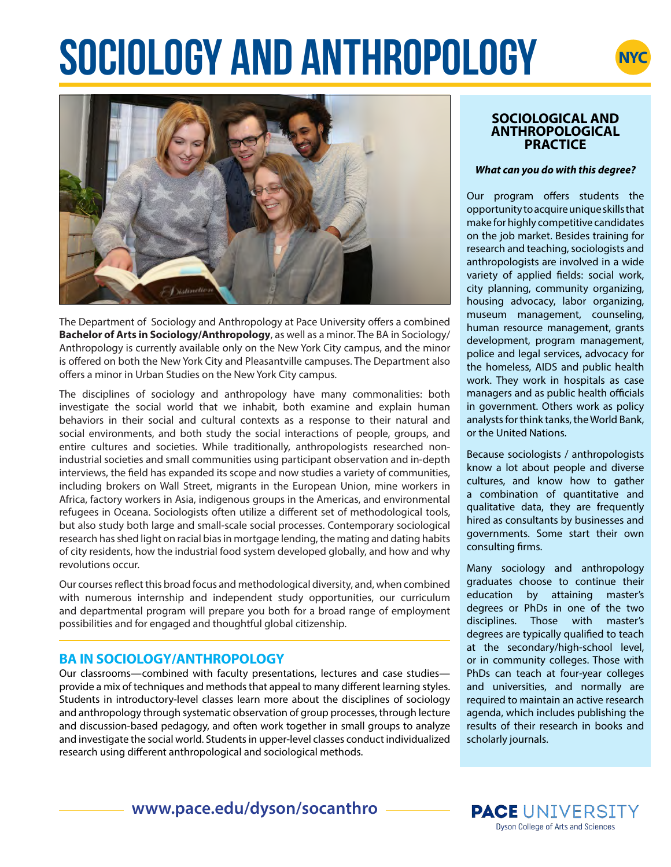# **SOCIOLOGY AND ANTHROPOLOGY**





The Department of Sociology and Anthropology at Pace University offers a combined **Bachelor of Arts in Sociology/Anthropology**, as well as a minor. The BA in Sociology/ Anthropology is currently available only on the New York City campus, and the minor is offered on both the New York City and Pleasantville campuses. The Department also offers a minor in Urban Studies on the New York City campus.

The disciplines of sociology and anthropology have many commonalities: both investigate the social world that we inhabit, both examine and explain human behaviors in their social and cultural contexts as a response to their natural and social environments, and both study the social interactions of people, groups, and entire cultures and societies. While traditionally, anthropologists researched nonindustrial societies and small communities using participant observation and in-depth interviews, the field has expanded its scope and now studies a variety of communities, including brokers on Wall Street, migrants in the European Union, mine workers in Africa, factory workers in Asia, indigenous groups in the Americas, and environmental refugees in Oceana. Sociologists often utilize a different set of methodological tools, but also study both large and small-scale social processes. Contemporary sociological research has shed light on racial bias in mortgage lending, the mating and dating habits of city residents, how the industrial food system developed globally, and how and why revolutions occur.

Our courses reflect this broad focus and methodological diversity, and, when combined with numerous internship and independent study opportunities, our curriculum and departmental program will prepare you both for a broad range of employment possibilities and for engaged and thoughtful global citizenship.

# **BA IN SOCIOLOGY/ANTHROPOLOGY**

Our classrooms—combined with faculty presentations, lectures and case studies provide a mix of techniques and methods that appeal to many different learning styles. Students in introductory-level classes learn more about the disciplines of sociology and anthropology through systematic observation of group processes, through lecture and discussion-based pedagogy, and often work together in small groups to analyze and investigate the social world. Students in upper-level classes conduct individualized research using different anthropological and sociological methods.

#### **SOCIOLOGICAL AND ANTHROPOLOGICAL PRACTICE**

#### *What can you do with this degree?*

Our program offers students the opportunity to acquire unique skills that make for highly competitive candidates on the job market. Besides training for research and teaching, sociologists and anthropologists are involved in a wide variety of applied fields: social work, city planning, community organizing, housing advocacy, labor organizing, museum management, counseling, human resource management, grants development, program management, police and legal services, advocacy for the homeless, AIDS and public health work. They work in hospitals as case managers and as public health officials in government. Others work as policy analysts for think tanks, the World Bank, or the United Nations.

Because sociologists / anthropologists know a lot about people and diverse cultures, and know how to gather a combination of quantitative and qualitative data, they are frequently hired as consultants by businesses and governments. Some start their own consulting firms.

Many sociology and anthropology graduates choose to continue their education by attaining master's degrees or PhDs in one of the two disciplines. Those with master's degrees are typically qualified to teach at the secondary/high-school level, or in community colleges. Those with PhDs can teach at four-year colleges and universities, and normally are required to maintain an active research agenda, which includes publishing the results of their research in books and scholarly journals.

# **www.pace.edu/dyson/socanthro**